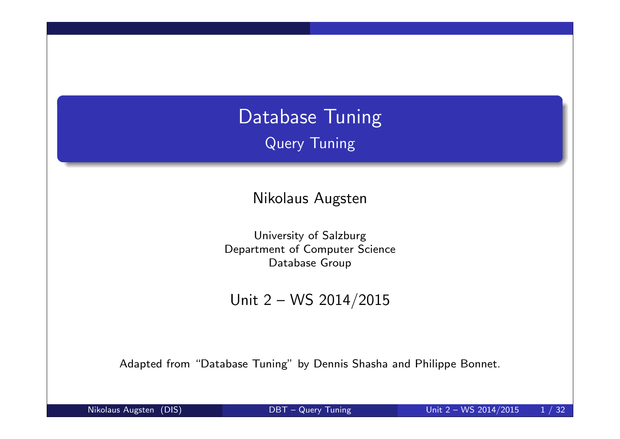## Database Tuning Query Tuning

Nikolaus Augsten

University of Salzburg Department of Computer Science Database Group

Unit 2 – WS 2014/2015

Adapted from "Database Tuning" by Dennis Shasha and Philippe Bonnet.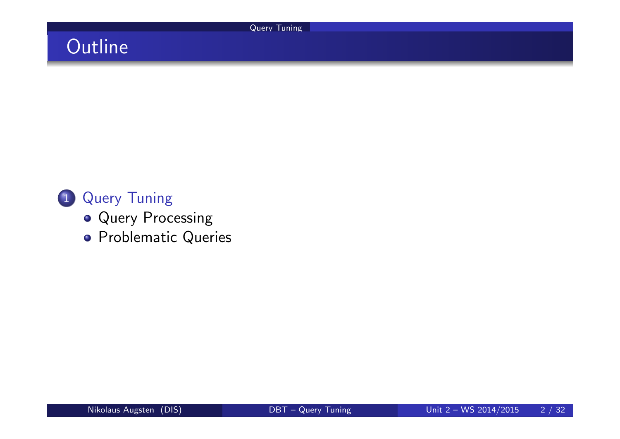Query Tuning

# **Outline**

### 1 Query Tuning

- **Query Processing**
- **•** Problematic Queries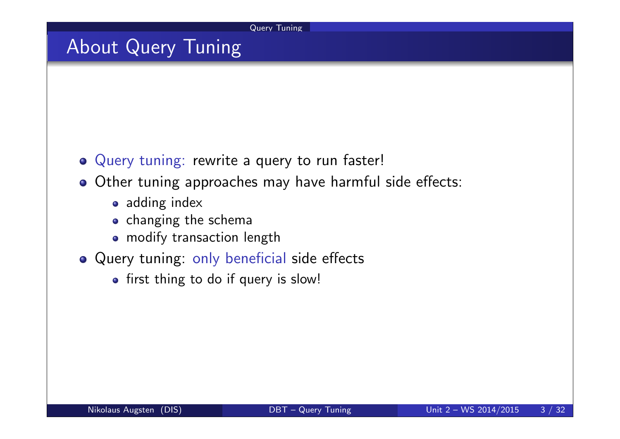Query Tuning

## About Query Tuning

- Query tuning: rewrite a query to run faster!
- o Other tuning approaches may have harmful side effects:
	- adding index
	- o changing the schema
	- modify transaction length
- Query tuning: only beneficial side effects
	- first thing to do if query is slow!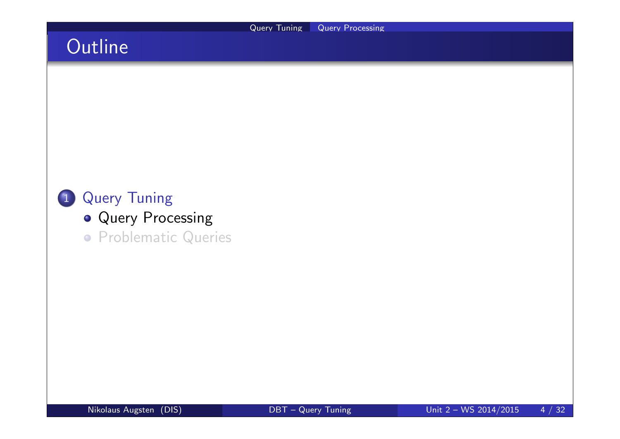## **Outline**

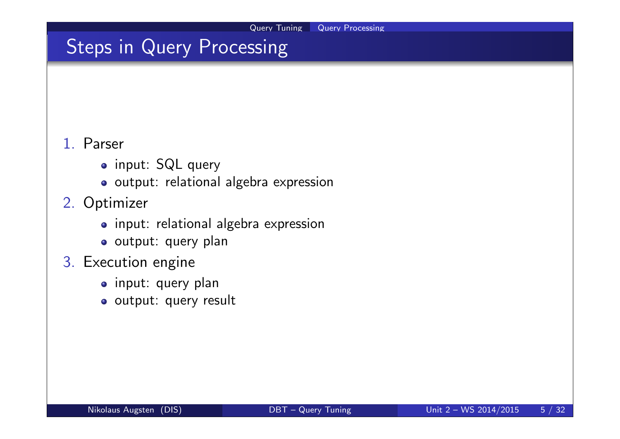## Steps in Query Processing

#### 1. Parser

- o input: SQL query
- o output: relational algebra expression
- 2. Optimizer
	- input: relational algebra expression
	- o output: query plan
- 3. Execution engine
	- o input: query plan
	- o output: query result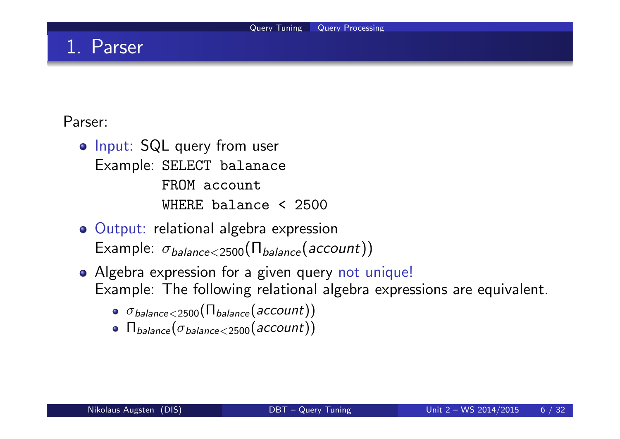### 1. Parser

#### Parser:

- o Input: SQL query from user Example: SELECT balanace FROM account WHERE balance < 2500
- Output: relational algebra expression Example:  $\sigma_{\text{balance} < 2500}(\Pi_{\text{balance}}(\text{account}))$
- Algebra expression for a given query not unique! Example: The following relational algebra expressions are equivalent.
	- $\bullet$   $\sigma_{\text{balance} < 2500}(\Pi_{\text{balance}}(\text{account}))$
	- $\bullet$   $\Pi_{\text{balance}}(\sigma_{\text{balance} < 2500}(\text{account}))$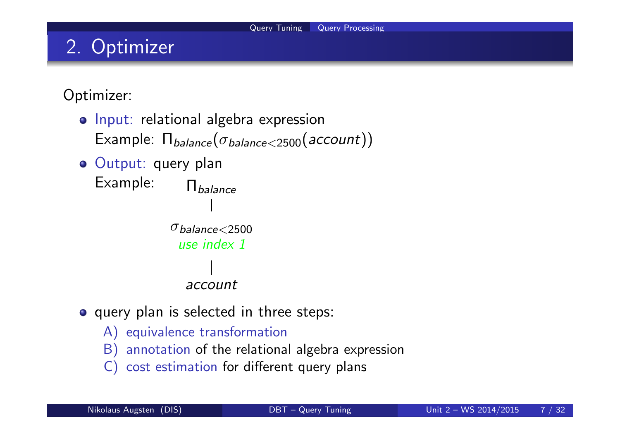# 2. Optimizer

### Optimizer:

- o Input: relational algebra expression Example:  $\Pi_{\text{balance}}(\sigma_{\text{balance} < 2500}(\text{account}))$
- o Output: query plan Example:  $\prod_{\text{balance}}$  $\sigma_{\text{halance} < 2500}$ use index 1 account
- o query plan is selected in three steps:
	- A) equivalence transformation
	- B) annotation of the relational algebra expression
	- C) cost estimation for different query plans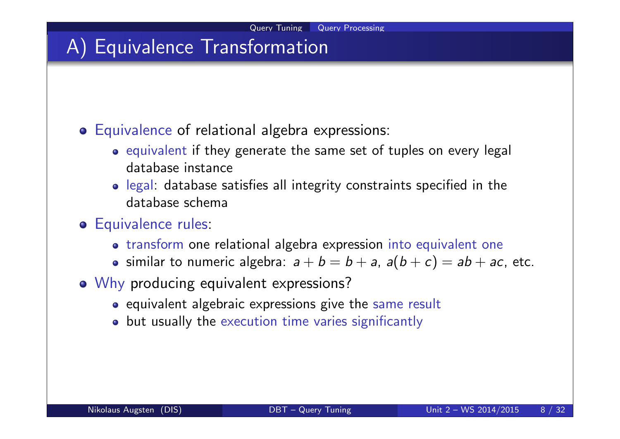### A) Equivalence Transformation

- Equivalence of relational algebra expressions:
	- o equivalent if they generate the same set of tuples on every legal database instance
	- legal: database satisfies all integrity constraints specified in the database schema
- **o** Equivalence rules:
	- transform one relational algebra expression into equivalent one
	- similar to numeric algebra:  $a + b = b + a$ ,  $a(b + c) = ab + ac$ , etc.
- o Why producing equivalent expressions?
	- equivalent algebraic expressions give the same result
	- but usually the execution time varies significantly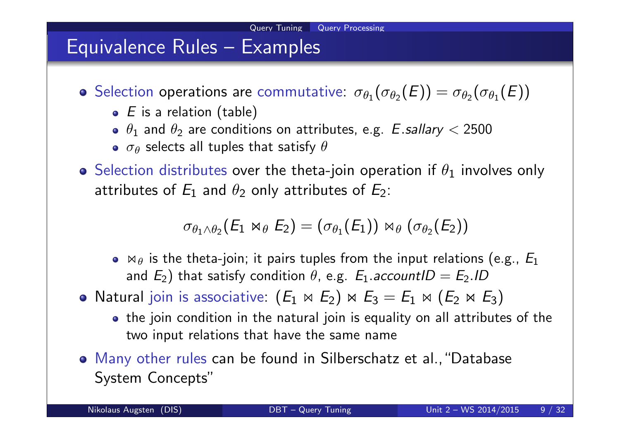### Equivalence Rules – Examples

Selection operations are commutative:  $\sigma_{\theta_1}(\sigma_{\theta_2}(E)) = \sigma_{\theta_2}(\sigma_{\theta_1}(E))$ 

- $\bullet$  E is a relation (table)
- $\theta_1$  and  $\theta_2$  are conditions on attributes, e.g.  $\it{E.sallary} < 2500$
- $\sigma_\theta$  selects all tuples that satisfy  $\theta$
- **•** Selection distributes over the theta-join operation if  $\theta_1$  involves only attributes of  $E_1$  and  $\theta_2$  only attributes of  $E_2$ :

 $\sigma_{\theta_1 \wedge \theta_2} (E_1 \Join_{\theta} E_2) = (\sigma_{\theta_1}(E_1)) \Join_{\theta} (\sigma_{\theta_2}(E_2))$ 

- $\bullet$   $\bowtie$   $\theta$  is the theta-join; it pairs tuples from the input relations (e.g.,  $E_1$ ) and  $E_2)$  that satisfy condition  $\theta$ , e.g.  $E_1$ .accountI $D=E_2$ .ID
- Natural join is associative:  $(E_1 \Join E_2) \Join E_3 = E_1 \Join (E_2 \Join E_3)$ 
	- the join condition in the natural join is equality on all attributes of the two input relations that have the same name
- Many other rules can be found in Silberschatz et al.,"Database System Concepts"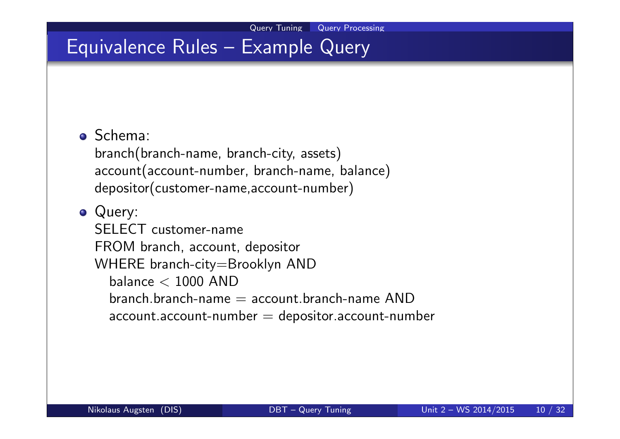### Equivalence Rules – Example Query

#### Schema:

branch(branch-name, branch-city, assets) account(account-number, branch-name, balance) depositor(customer-name,account-number)

#### Query:

SELECT customer-name FROM branch, account, depositor WHERE branch-city=Brooklyn AND balance  $<$  1000 AND branch branch-name  $=$  account branch-name AND  $account$ .account-number  $=$  depositor.account-number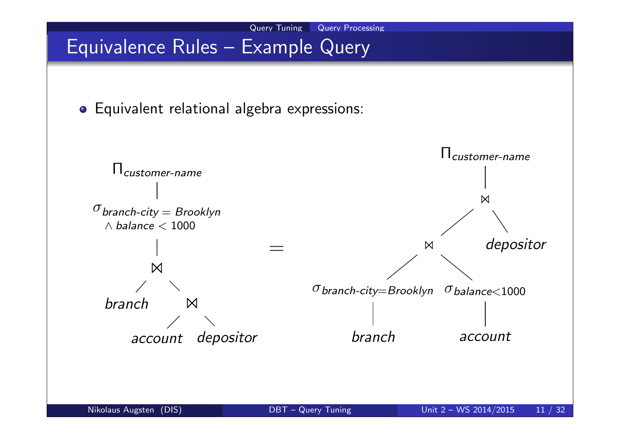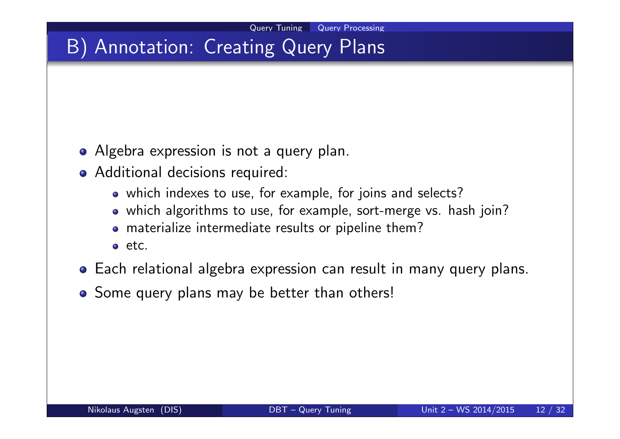## B) Annotation: Creating Query Plans

- Algebra expression is not a query plan.
- Additional decisions required:
	- which indexes to use, for example, for joins and selects?
	- which algorithms to use, for example, sort-merge vs. hash join?
	- materialize intermediate results or pipeline them?
	- etc.
- Each relational algebra expression can result in many query plans.
- Some query plans may be better than others!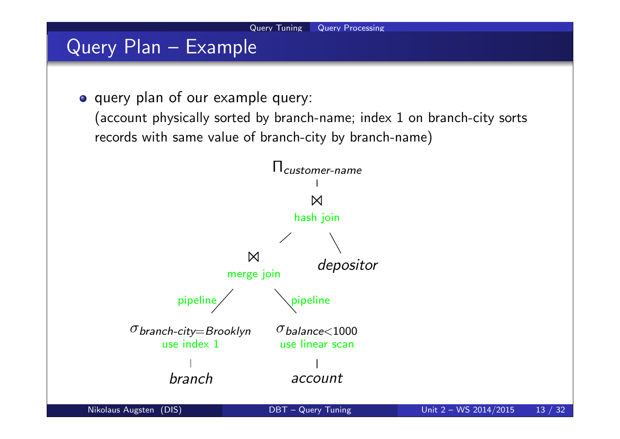## Query Plan – Example

o query plan of our example query:

(account physically sorted by branch-name; index 1 on branch-city sorts records with same value of branch-city by branch-name)

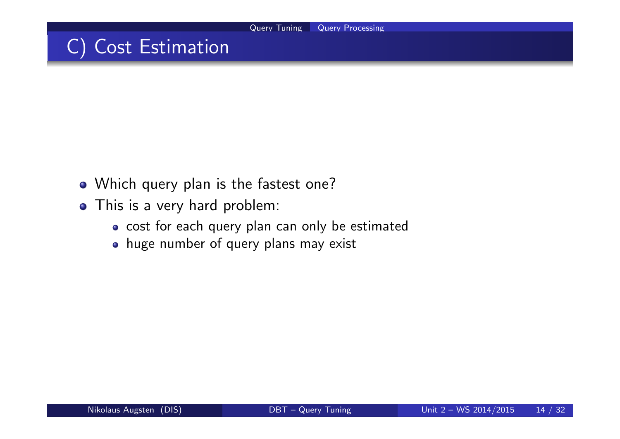## C) Cost Estimation

- Which query plan is the fastest one?
- This is a very hard problem:
	- cost for each query plan can only be estimated
	- huge number of query plans may exist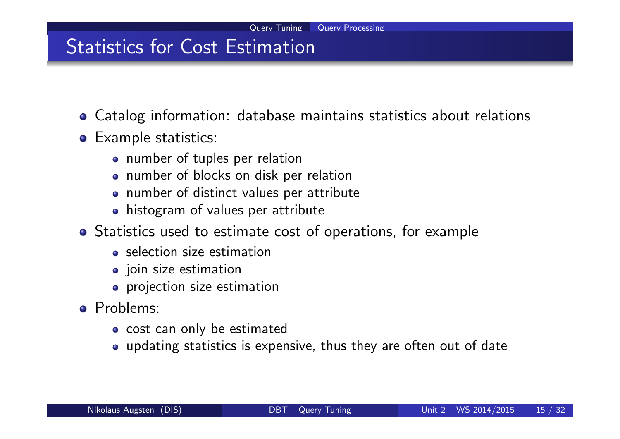### Statistics for Cost Estimation

- Catalog information: database maintains statistics about relations
- Example statistics:
	- number of tuples per relation
	- number of blocks on disk per relation
	- number of distinct values per attribute
	- histogram of values per attribute
- Statistics used to estimate cost of operations, for example
	- o selection size estimation
	- **•** join size estimation
	- projection size estimation
- Problems:
	- cost can only be estimated
	- updating statistics is expensive, thus they are often out of date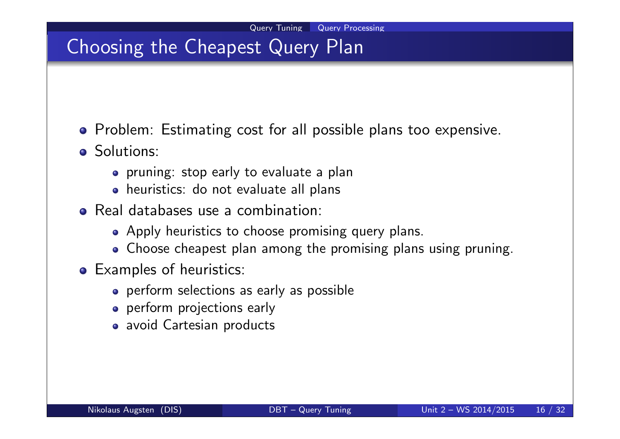## Choosing the Cheapest Query Plan

- **•** Problem: Estimating cost for all possible plans too expensive.
- Solutions:
	- pruning: stop early to evaluate a plan
	- heuristics: do not evaluate all plans
- Real databases use a combination:
	- Apply heuristics to choose promising query plans.
	- Choose cheapest plan among the promising plans using pruning.
- **•** Examples of heuristics:
	- perform selections as early as possible
	- **•** perform projections early
	- avoid Cartesian products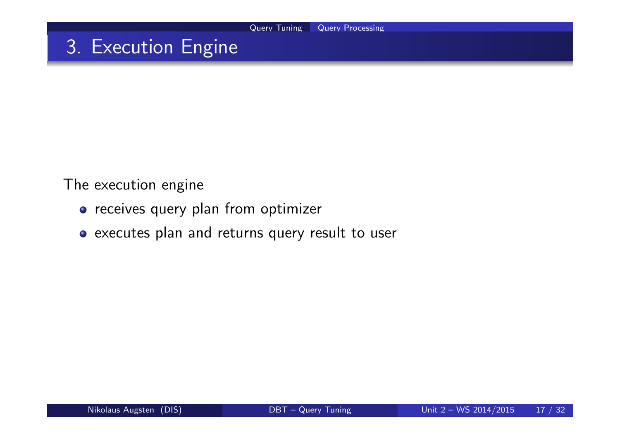### 3. Execution Engine

The execution engine

- **•** receives query plan from optimizer
- executes plan and returns query result to user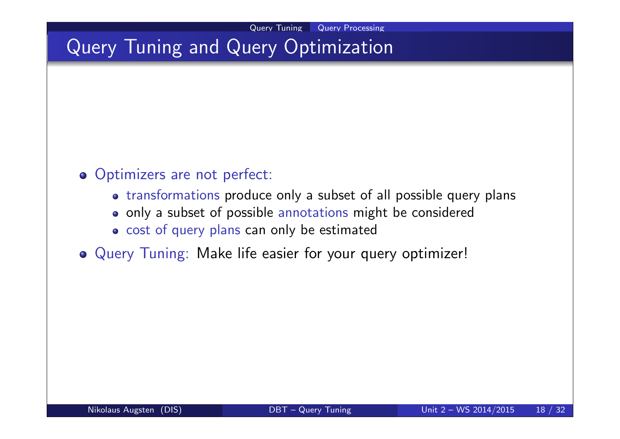## Query Tuning and Query Optimization

### o Optimizers are not perfect:

- transformations produce only a subset of all possible query plans
- o only a subset of possible annotations might be considered
- o cost of query plans can only be estimated
- Query Tuning: Make life easier for your query optimizer!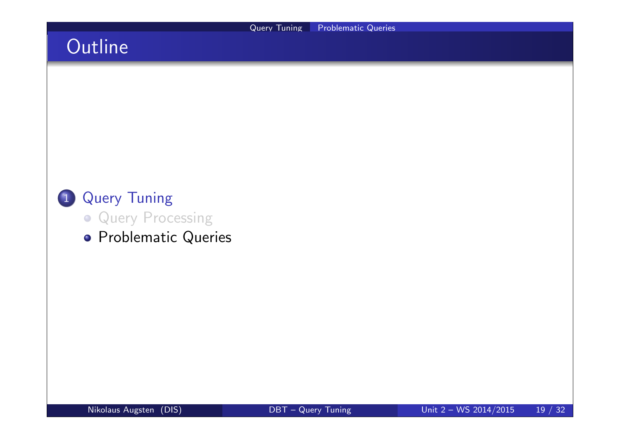## **Outline**

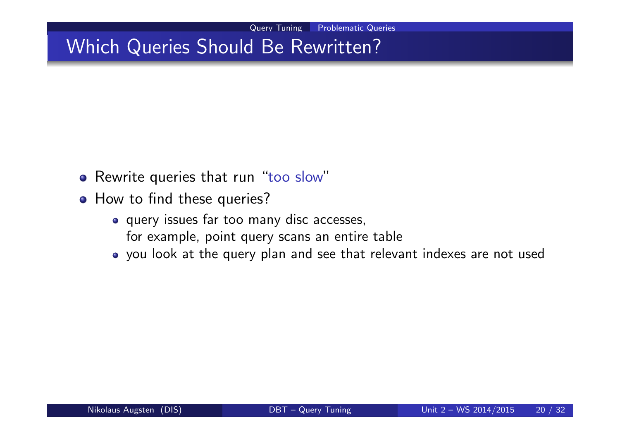## Which Queries Should Be Rewritten?

- o Rewrite queries that run "too slow"
- How to find these queries?
	- query issues far too many disc accesses, for example, point query scans an entire table
	- you look at the query plan and see that relevant indexes are not used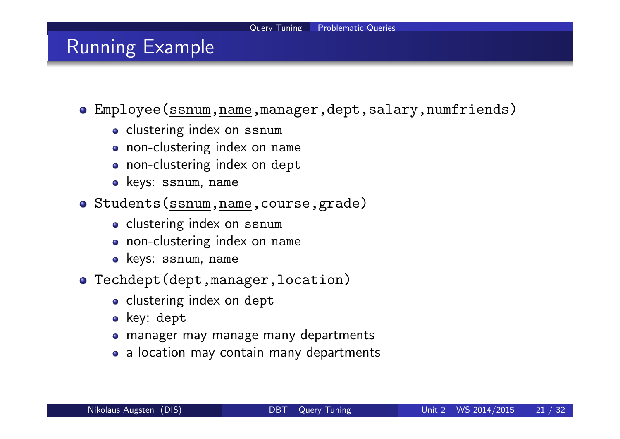### Running Example

Employee(ssnum,name,manager,dept,salary,numfriends)

- o clustering index on ssnum
- non-clustering index on name
- non-clustering index on dept
- keys: ssnum, name
- Students(ssnum,name,course,grade)
	- o clustering index on ssnum
	- non-clustering index on name
	- keys: ssnum, name
- Techdept(dept,manager,location)
	- o clustering index on dept
	- key: dept
	- manager may manage many departments
	- a location may contain many departments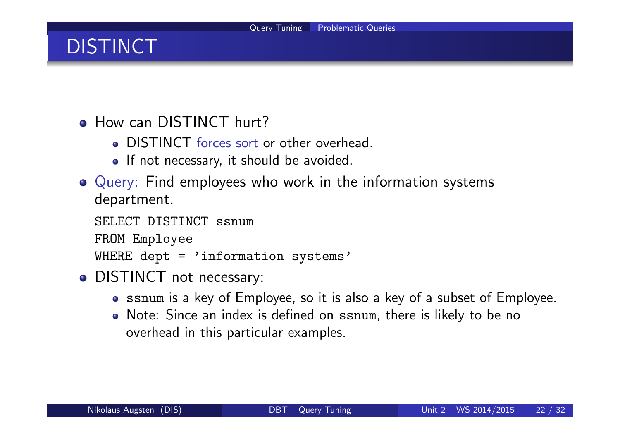# **DISTINCT**

**• How can DISTINCT hurt?** 

- DISTINCT forces sort or other overhead.
- If not necessary, it should be avoided.
- Query: Find employees who work in the information systems department.

```
SELECT DISTINCT ssnum
FROM Employee
WHERE dept = 'information systems'
```
- DISTINCT not necessary:
	- ssnum is a key of Employee, so it is also a key of a subset of Employee.
	- Note: Since an index is defined on ssnum, there is likely to be no overhead in this particular examples.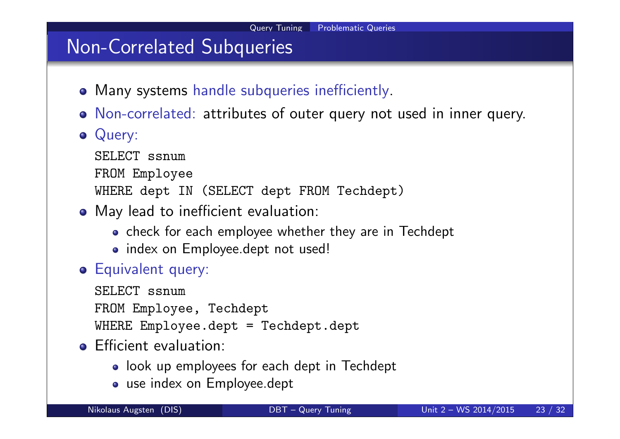### Non-Correlated Subqueries

- Many systems handle subqueries inefficiently.
- Non-correlated: attributes of outer query not used in inner query.
- **•** Query:

SELECT ssnum FROM Employee WHERE dept IN (SELECT dept FROM Techdept)

- May lead to inefficient evaluation:
	- check for each employee whether they are in Techdept
	- index on Employee.dept not used!
- **Equivalent query:**

SELECT ssnum FROM Employee, Techdept WHERE Employee.dept = Techdept.dept

#### **•** Efficient evaluation:

- look up employees for each dept in Techdept
- use index on Employee.dept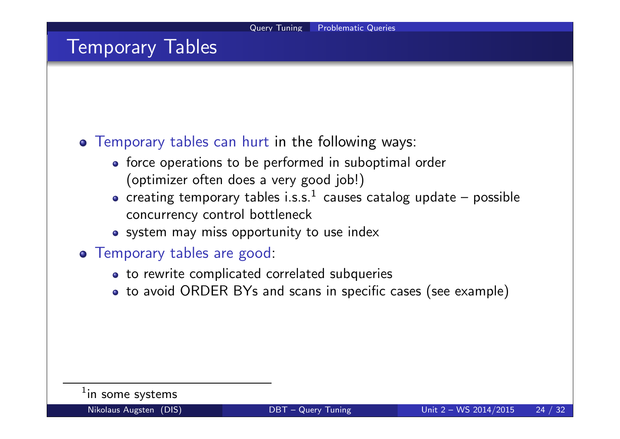### Temporary Tables

#### Temporary tables can hurt in the following ways:

- force operations to be performed in suboptimal order (optimizer often does a very good job!)
- creating temporary tables i.s.s. $^1\,$  causes catalog update  $-$  possible concurrency control bottleneck
- system may miss opportunity to use index

#### Temporary tables are good:

- to rewrite complicated correlated subqueries
- to avoid ORDER BYs and scans in specific cases (see example)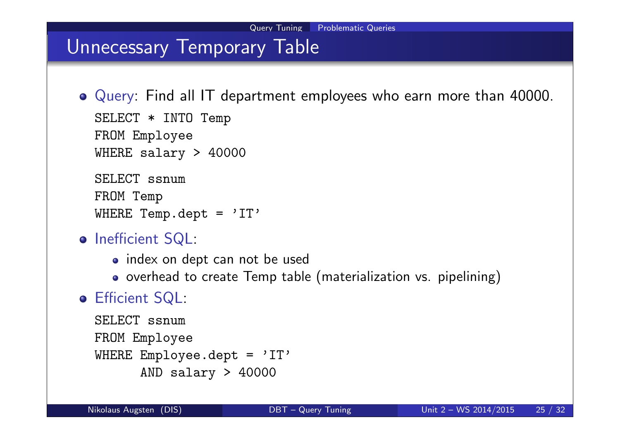### Unnecessary Temporary Table

Query: Find all IT department employees who earn more than 40000. SELECT \* INTO Temp FROM Employee WHERE salary > 40000 SELECT ssnum FROM Temp

```
WHERE Temp.dept = 'IT'
```
- o Inefficient SQL:
	- index on dept can not be used
	- o overhead to create Temp table (materialization vs. pipelining)

### Efficient SQL:

```
SELECT ssnum
FROM Employee
WHERE Employee.dept = 'IT'AND salary > 40000
```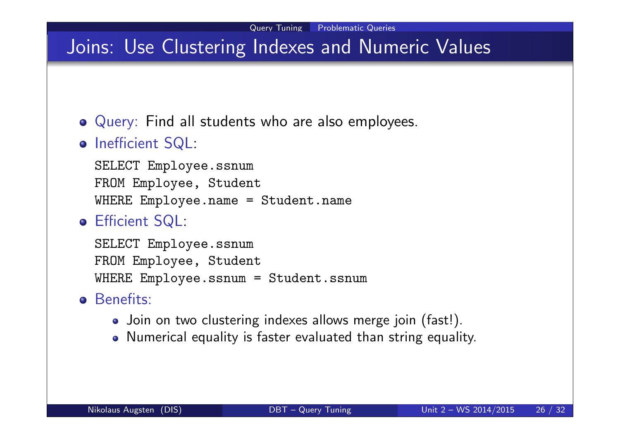### Joins: Use Clustering Indexes and Numeric Values

- Query: Find all students who are also employees.
- o Inefficient SQL:

SELECT Employee.ssnum FROM Employee, Student WHERE Employee.name = Student.name

Efficient SQL:

SELECT Employee.ssnum FROM Employee, Student WHERE Employee.ssnum = Student.ssnum

- **o** Benefits:
	- Join on two clustering indexes allows merge join (fast!).
	- Numerical equality is faster evaluated than string equality.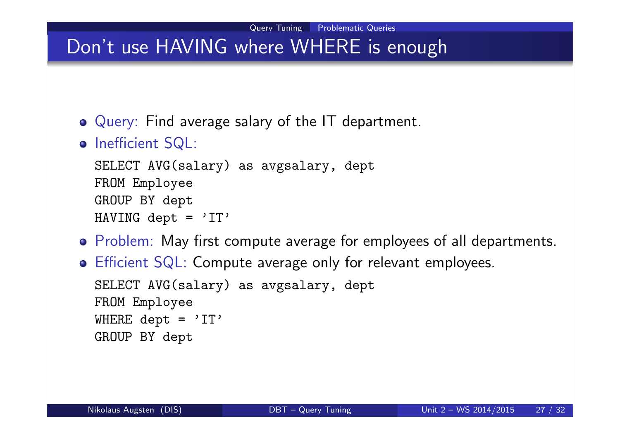## Don't use HAVING where WHERE is enough

- Query: Find average salary of the IT department.
- o Inefficient SQL:

```
SELECT AVG(salary) as avgsalary, dept
FROM Employee
GROUP BY dept
HAVING dept = 'IT'
```
- Problem: May first compute average for employees of all departments.
- Efficient SQL: Compute average only for relevant employees. SELECT AVG(salary) as avgsalary, dept FROM Employee WHERE dept =  $'IT'$

```
GROUP BY dept
```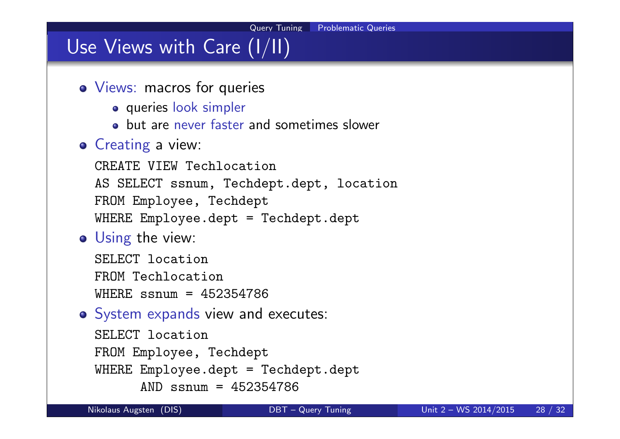## Use Views with Care (I/II)

- Views: macros for queries
	- queries look simpler
	- **o** but are never faster and sometimes slower

#### **o** Creating a view:

CREATE VIEW Techlocation AS SELECT ssnum, Techdept.dept, location FROM Employee, Techdept WHERE Employee.dept = Techdept.dept

**o** Using the view:

SELECT location FROM Techlocation WHERE ssnum = 452354786

o System expands view and executes:

```
SELECT location
FROM Employee, Techdept
WHERE Employee.dept = Techdept.dept
      AND ssnum = 452354786
```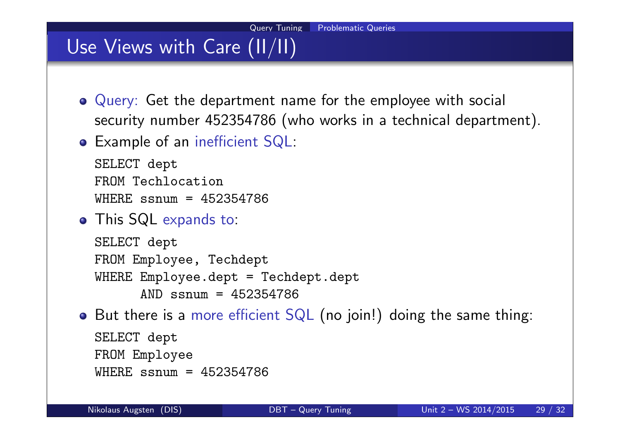# Use Views with Care (II/II)

- Query: Get the department name for the employee with social security number 452354786 (who works in a technical department).
- Example of an inefficient SQL:

```
SELECT dept
FROM Techlocation
WHERE ssnum = 452354786
```
This SQL expands to:

```
SELECT dept
FROM Employee, Techdept
WHERE Employee.dept = Techdept.dept
      AND ssnum = 452354786
```
• But there is a more efficient SQL (no join!) doing the same thing:

```
SELECT dept
FROM Employee
WHERE ssnum = 452354786
```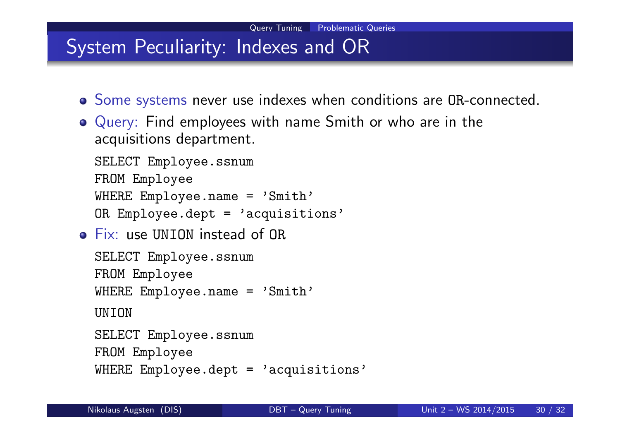### System Peculiarity: Indexes and OR

- Some systems never use indexes when conditions are OR-connected.
- Query: Find employees with name Smith or who are in the acquisitions department.

SELECT Employee.ssnum FROM Employee WHERE Employee.name = 'Smith'

OR Employee.dept = 'acquisitions'

Fix: use UNION instead of OR

```
SELECT Employee.ssnum
FROM Employee
WHERE Employee.name = 'Smith'
UNION
SELECT Employee.ssnum
```
FROM Employee

```
WHERE Employee.dept = 'acquisitions'
```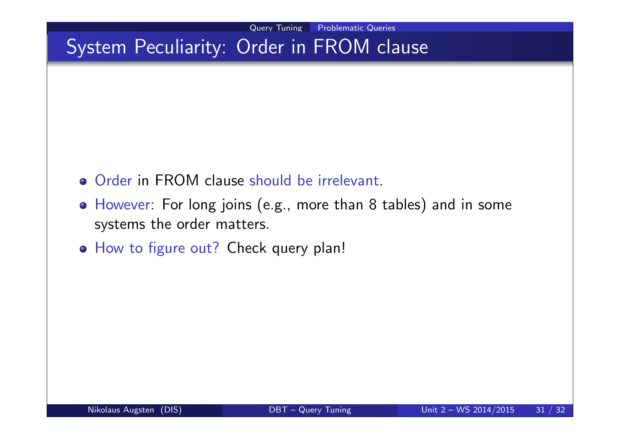## System Peculiarity: Order in FROM clause

- **Order in FROM clause should be irrelevant.**
- However: For long joins (e.g., more than 8 tables) and in some systems the order matters.
- o How to figure out? Check query plan!